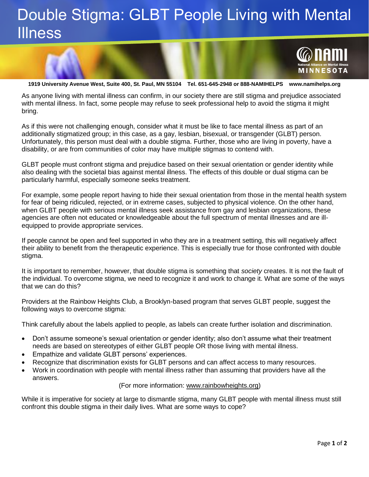## Double Stigma: GLBT People Living with Mental Illness



**1919 University Avenue West, Suite 400, St. Paul, MN 55104 Tel. 651-645-2948 or 888-NAMIHELPS www.namihelps.org**

As anyone living with mental illness can confirm, in our society there are still stigma and prejudice associated with mental illness. In fact, some people may refuse to seek professional help to avoid the stigma it might bring.

As if this were not challenging enough, consider what it must be like to face mental illness as part of an additionally stigmatized group; in this case, as a gay, lesbian, bisexual, or transgender (GLBT) person. Unfortunately, this person must deal with a double stigma. Further, those who are living in poverty, have a disability, or are from communities of color may have multiple stigmas to contend with.

GLBT people must confront stigma and prejudice based on their sexual orientation or gender identity while also dealing with the societal bias against mental illness. The effects of this double or dual stigma can be particularly harmful, especially someone seeks treatment.

For example, some people report having to hide their sexual orientation from those in the mental health system for fear of being ridiculed, rejected, or in extreme cases, subjected to physical violence. On the other hand, when GLBT people with serious mental illness seek assistance from gay and lesbian organizations, these agencies are often not educated or knowledgeable about the full spectrum of mental illnesses and are illequipped to provide appropriate services.

If people cannot be open and feel supported in who they are in a treatment setting, this will negatively affect their ability to benefit from the therapeutic experience. This is especially true for those confronted with double stigma.

It is important to remember, however, that double stigma is something that *society* creates. It is not the fault of the individual. To overcome stigma, we need to recognize it and work to change it. What are some of the ways that we can do this?

Providers at the Rainbow Heights Club, a Brooklyn-based program that serves GLBT people, suggest the following ways to overcome stigma:

Think carefully about the labels applied to people, as labels can create further isolation and discrimination.

- Don't assume someone's sexual orientation or gender identity; also don't assume what their treatment needs are based on stereotypes of either GLBT people OR those living with mental illness.
- Empathize and validate GLBT persons' experiences.
- Recognize that discrimination exists for GLBT persons and can affect access to many resources.
- Work in coordination with people with mental illness rather than assuming that providers have all the answers.

## (For more information: [www.rainbowheights.org\)](http://www.rainbowheights.org/)

While it is imperative for society at large to dismantle stigma, many GLBT people with mental illness must still confront this double stigma in their daily lives. What are some ways to cope?